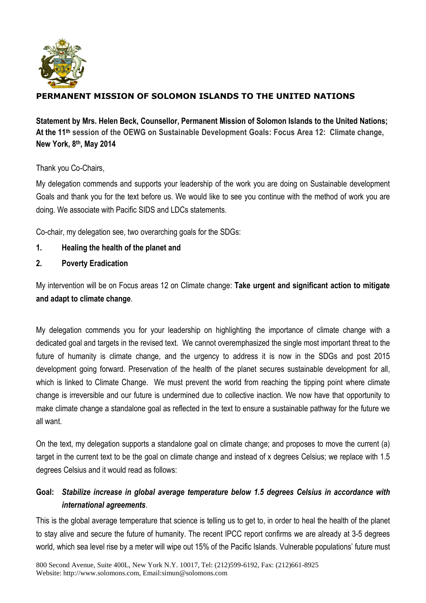

## **PERMANENT MISSION OF SOLOMON ISLANDS TO THE UNITED NATIONS**

**Statement by Mrs. Helen Beck, Counsellor, Permanent Mission of Solomon Islands to the United Nations; At the 11 th session of the OEWG on Sustainable Development Goals: Focus Area 12: Climate change, New York, 8 th, May 2014**

Thank you Co-Chairs,

My delegation commends and supports your leadership of the work you are doing on Sustainable development Goals and thank you for the text before us. We would like to see you continue with the method of work you are doing. We associate with Pacific SIDS and LDCs statements.

Co-chair, my delegation see, two overarching goals for the SDGs:

- **1. Healing the health of the planet and**
- **2. Poverty Eradication**

My intervention will be on Focus areas 12 on Climate change: **Take urgent and significant action to mitigate and adapt to climate change**.

My delegation commends you for your leadership on highlighting the importance of climate change with a dedicated goal and targets in the revised text. We cannot overemphasized the single most important threat to the future of humanity is climate change, and the urgency to address it is now in the SDGs and post 2015 development going forward. Preservation of the health of the planet secures sustainable development for all, which is linked to Climate Change. We must prevent the world from reaching the tipping point where climate change is irreversible and our future is undermined due to collective inaction. We now have that opportunity to make climate change a standalone goal as reflected in the text to ensure a sustainable pathway for the future we all want.

On the text, my delegation supports a standalone goal on climate change; and proposes to move the current (a) target in the current text to be the goal on climate change and instead of x degrees Celsius; we replace with 1.5 degrees Celsius and it would read as follows:

## **Goal:** *Stabilize increase in global average temperature below 1.5 degrees Celsius in accordance with international agreements*.

This is the global average temperature that science is telling us to get to, in order to heal the health of the planet to stay alive and secure the future of humanity. The recent IPCC report confirms we are already at 3-5 degrees world, which sea level rise by a meter will wipe out 15% of the Pacific Islands. Vulnerable populations' future must